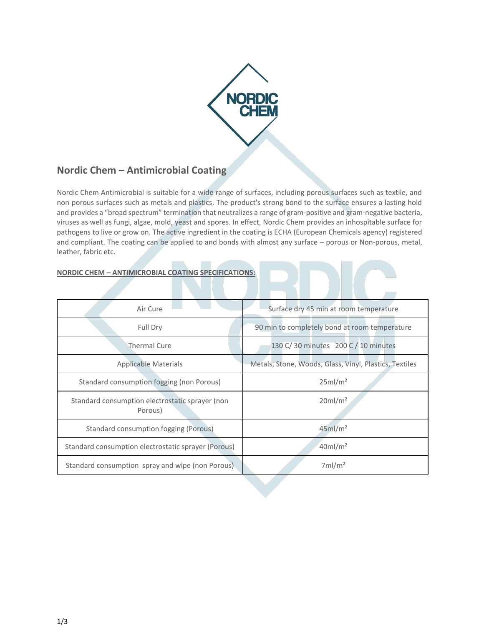

# **Nordic Chem – Antimicrobial Coating**

Nordic Chem Antimicrobial is suitable for a wide range of surfaces, including porous surfaces such as textile, and non porous surfaces such as metals and plastics. The product's strong bond to the surface ensures a lasting hold and provides a "broad spectrum" termination that neutralizes a range of gram-positive and gram-negative bacteria, viruses as well as fungi, algae, mold, yeast and spores. In effect, Nordic Chem provides an inhospitable surface for pathogens to live or grow on. The active ingredient in the coating is ECHA (European Chemicals agency) registered and compliant. The coating can be applied to and bonds with almost any surface – porous or Non-porous, metal, leather, fabric etc.

## **NORDIC CHEM – ANTIMICROBIAL COATING SPECIFICATIONS:**

| Air Cure                                                   | Surface dry 45 min at room temperature                 |
|------------------------------------------------------------|--------------------------------------------------------|
| Full Dry                                                   | 90 min to completely bond at room temperature          |
| <b>Thermal Cure</b>                                        | 130 C/30 minutes 200 C / 10 minutes                    |
| <b>Applicable Materials</b>                                | Metals, Stone, Woods, Glass, Vinyl, Plastics, Textiles |
| Standard consumption fogging (non Porous)                  | 25ml/m <sup>2</sup>                                    |
| Standard consumption electrostatic sprayer (non<br>Porous) | $20$ ml/m <sup>2</sup>                                 |
| <b>Standard consumption fogging (Porous)</b>               | $45$ ml/m <sup>2</sup>                                 |
| Standard consumption electrostatic sprayer (Porous)        | $40$ ml/m <sup>2</sup>                                 |
| Standard consumption spray and wipe (non Porous).          | 7ml/m <sup>2</sup>                                     |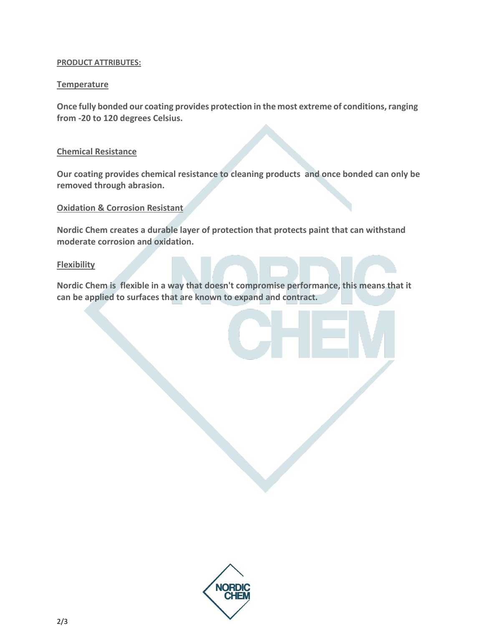## **PRODUCT ATTRIBUTES:**

# **Temperature**

**Once fully bonded our coating provides protection in the most extreme of conditions, ranging from -20 to 120 degrees Celsius.**

# **Chemical Resistance**

**Our coating provides chemical resistance to cleaning products and once bonded can only be removed through abrasion.**

## **Oxidation & Corrosion Resistant**

**Nordic Chem creates a durable layer of protection that protects paint that can withstand moderate corrosion and oxidation.**

## **Flexibility**

**Nordic Chem is flexible in a way that doesn't compromise performance, this means that it can be applied to surfaces that are known to expand and contract.**